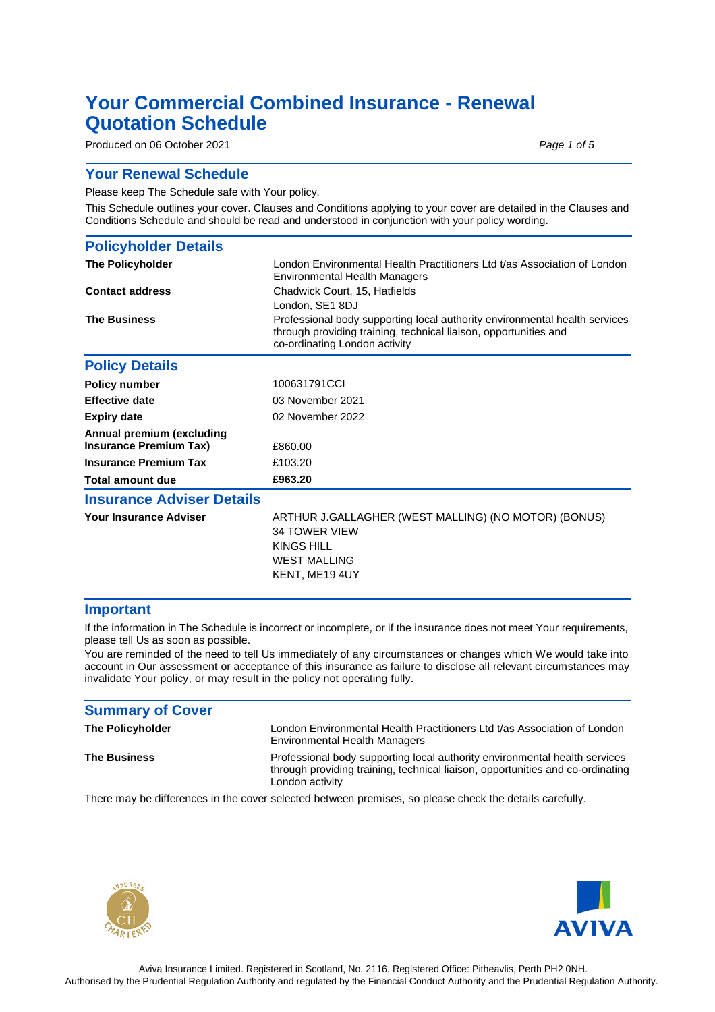## **Your Commercial Combined Insurance - Renewal Quotation Schedule**

Produced on 06 October 2021 **Produced on 06 October 2021** 

### **Your Renewal Schedule**

Please keep The Schedule safe with Your policy.

This Schedule outlines your cover. Clauses and Conditions applying to your cover are detailed in the Clauses and Conditions Schedule and should be read and understood in conjunction with your policy wording.

| <b>Policyholder Details</b>                                |                                                                                                                                                                                 |  |  |
|------------------------------------------------------------|---------------------------------------------------------------------------------------------------------------------------------------------------------------------------------|--|--|
| <b>The Policyholder</b>                                    | London Environmental Health Practitioners Ltd t/as Association of London<br><b>Environmental Health Managers</b>                                                                |  |  |
| <b>Contact address</b>                                     | Chadwick Court, 15, Hatfields<br>London, SE1 8DJ                                                                                                                                |  |  |
| <b>The Business</b>                                        | Professional body supporting local authority environmental health services<br>through providing training, technical liaison, opportunities and<br>co-ordinating London activity |  |  |
| <b>Policy Details</b>                                      |                                                                                                                                                                                 |  |  |
| <b>Policy number</b>                                       | 100631791CCI                                                                                                                                                                    |  |  |
| <b>Effective date</b>                                      | 03 November 2021                                                                                                                                                                |  |  |
| <b>Expiry date</b>                                         | 02 November 2022                                                                                                                                                                |  |  |
| Annual premium (excluding<br><b>Insurance Premium Tax)</b> | £860.00                                                                                                                                                                         |  |  |
| <b>Insurance Premium Tax</b>                               | £103.20                                                                                                                                                                         |  |  |
| Total amount due                                           | £963.20                                                                                                                                                                         |  |  |
| <b>Insurance Adviser Details</b>                           |                                                                                                                                                                                 |  |  |
| <b>Your Insurance Adviser</b>                              | ARTHUR J.GALLAGHER (WEST MALLING) (NO MOTOR) (BONUS)<br><b>34 TOWER VIEW</b><br>KINGS HILL<br><b>WEST MALLING</b><br>KENT, ME19 4UY                                             |  |  |

### **Important**

If the information in The Schedule is incorrect or incomplete, or if the insurance does not meet Your requirements, please tell Us as soon as possible.

You are reminded of the need to tell Us immediately of any circumstances or changes which We would take into account in Our assessment or acceptance of this insurance as failure to disclose all relevant circumstances may invalidate Your policy, or may result in the policy not operating fully.

| <b>Summary of Cover</b> |                                                                                                                                                                                 |
|-------------------------|---------------------------------------------------------------------------------------------------------------------------------------------------------------------------------|
| <b>The Policyholder</b> | London Environmental Health Practitioners Ltd t/as Association of London<br>Environmental Health Managers                                                                       |
| <b>The Business</b>     | Professional body supporting local authority environmental health services<br>through providing training, technical liaison, opportunities and co-ordinating<br>London activity |
|                         | There may be differences in the cover selected between premises, so please check the details carefully.                                                                         |



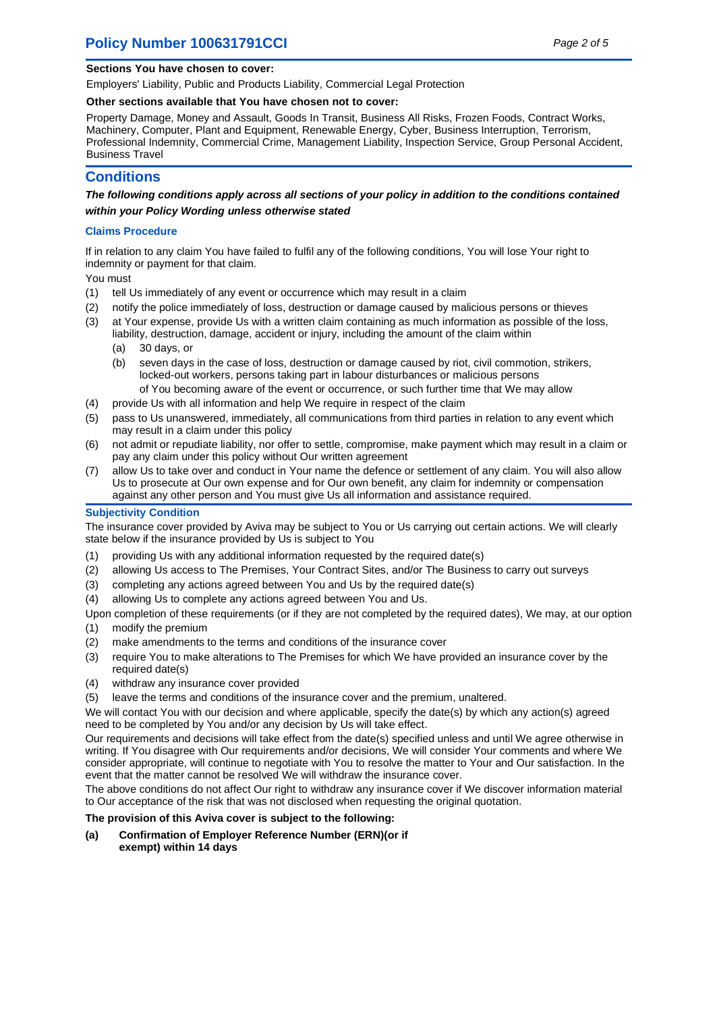## **Policy Number 100631791CCI** Page 2 of 5

### **Sections You have chosen to cover:**

Employers' Liability, Public and Products Liability, Commercial Legal Protection

### **Other sections available that You have chosen not to cover:**

Property Damage, Money and Assault, Goods In Transit, Business All Risks, Frozen Foods, Contract Works, Machinery, Computer, Plant and Equipment, Renewable Energy, Cyber, Business Interruption, Terrorism, Professional Indemnity, Commercial Crime, Management Liability, Inspection Service, Group Personal Accident, Business Travel

### **Conditions**

**The following conditions apply across all sections of your policy in addition to the conditions contained within your Policy Wording unless otherwise stated**

### **Claims Procedure**

If in relation to any claim You have failed to fulfil any of the following conditions, You will lose Your right to indemnity or payment for that claim.

You must

- (1) tell Us immediately of any event or occurrence which may result in a claim
- (2) notify the police immediately of loss, destruction or damage caused by malicious persons or thieves
- (3) at Your expense, provide Us with a written claim containing as much information as possible of the loss, liability, destruction, damage, accident or injury, including the amount of the claim within
	- (a) 30 days, or
	- (b) seven days in the case of loss, destruction or damage caused by riot, civil commotion, strikers, locked-out workers, persons taking part in labour disturbances or malicious persons
		- of You becoming aware of the event or occurrence, or such further time that We may allow
- (4) provide Us with all information and help We require in respect of the claim
- (5) pass to Us unanswered, immediately, all communications from third parties in relation to any event which may result in a claim under this policy
- (6) not admit or repudiate liability, nor offer to settle, compromise, make payment which may result in a claim or pay any claim under this policy without Our written agreement
- (7) allow Us to take over and conduct in Your name the defence or settlement of any claim. You will also allow Us to prosecute at Our own expense and for Our own benefit, any claim for indemnity or compensation against any other person and You must give Us all information and assistance required.

### **Subjectivity Condition**

The insurance cover provided by Aviva may be subject to You or Us carrying out certain actions. We will clearly state below if the insurance provided by Us is subject to You

- (1) providing Us with any additional information requested by the required date(s)
- (2) allowing Us access to The Premises, Your Contract Sites, and/or The Business to carry out surveys
- (3) completing any actions agreed between You and Us by the required date(s)
- (4) allowing Us to complete any actions agreed between You and Us.

Upon completion of these requirements (or if they are not completed by the required dates), We may, at our option (1) modify the premium

- (2) make amendments to the terms and conditions of the insurance cover
- (3) require You to make alterations to The Premises for which We have provided an insurance cover by the required date(s)
- (4) withdraw any insurance cover provided
- (5) leave the terms and conditions of the insurance cover and the premium, unaltered.

We will contact You with our decision and where applicable, specify the date(s) by which any action(s) agreed need to be completed by You and/or any decision by Us will take effect.

Our requirements and decisions will take effect from the date(s) specified unless and until We agree otherwise in writing. If You disagree with Our requirements and/or decisions, We will consider Your comments and where We consider appropriate, will continue to negotiate with You to resolve the matter to Your and Our satisfaction. In the event that the matter cannot be resolved We will withdraw the insurance cover.

The above conditions do not affect Our right to withdraw any insurance cover if We discover information material to Our acceptance of the risk that was not disclosed when requesting the original quotation.

### **The provision of this Aviva cover is subject to the following:**

**Confirmation of Employer Reference Number (ERN)(or if exempt) within 14 days (a)**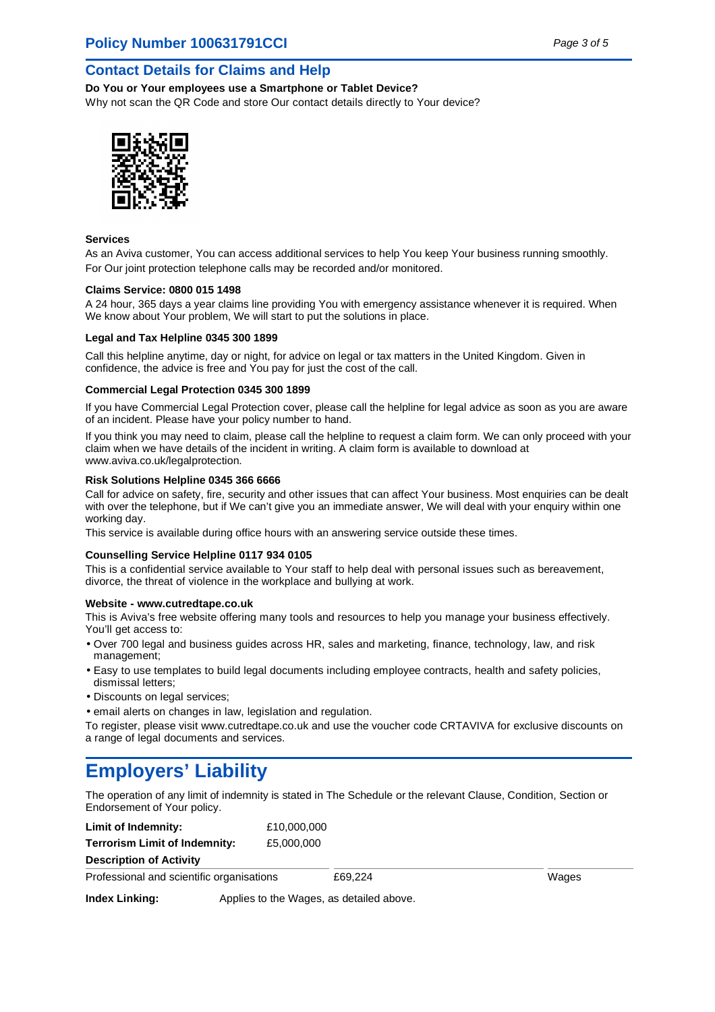### **Contact Details for Claims and Help**

**Do You or Your employees use a Smartphone or Tablet Device?** Why not scan the QR Code and store Our contact details directly to Your device?



### **Services**

As an Aviva customer, You can access additional services to help You keep Your business running smoothly. For Our joint protection telephone calls may be recorded and/or monitored.

### **Claims Service: 0800 015 1498**

A 24 hour, 365 days a year claims line providing You with emergency assistance whenever it is required. When We know about Your problem, We will start to put the solutions in place.

### **Legal and Tax Helpline 0345 300 1899**

Call this helpline anytime, day or night, for advice on legal or tax matters in the United Kingdom. Given in confidence, the advice is free and You pay for just the cost of the call.

### **Commercial Legal Protection 0345 300 1899**

If you have Commercial Legal Protection cover, please call the helpline for legal advice as soon as you are aware of an incident. Please have your policy number to hand.

If you think you may need to claim, please call the helpline to request a claim form. We can only proceed with your claim when we have details of the incident in writing. A claim form is available to download at www.aviva.co.uk/legalprotection.

### **Risk Solutions Helpline 0345 366 6666**

Call for advice on safety, fire, security and other issues that can affect Your business. Most enquiries can be dealt with over the telephone, but if We can't give you an immediate answer, We will deal with your enquiry within one working day.

This service is available during office hours with an answering service outside these times.

### **Counselling Service Helpline 0117 934 0105**

This is a confidential service available to Your staff to help deal with personal issues such as bereavement, divorce, the threat of violence in the workplace and bullying at work.

### **Website - www.cutredtape.co.uk**

This is Aviva's free website offering many tools and resources to help you manage your business effectively. You'll get access to:

- Over 700 legal and business guides across HR, sales and marketing, finance, technology, law, and risk management;
- Easy to use templates to build legal documents including employee contracts, health and safety policies, dismissal letters;
- Discounts on legal services;
- email alerts on changes in law, legislation and regulation.

To register, please visit www.cutredtape.co.uk and use the voucher code CRTAVIVA for exclusive discounts on a range of legal documents and services.

## **Employers' Liability**

The operation of any limit of indemnity is stated in The Schedule or the relevant Clause, Condition, Section or Endorsement of Your policy.

| Limit of Indemnity:                       | £10,000,000                              |         |       |
|-------------------------------------------|------------------------------------------|---------|-------|
| Terrorism Limit of Indemnity:             | £5.000.000                               |         |       |
| <b>Description of Activity</b>            |                                          |         |       |
| Professional and scientific organisations |                                          | £69.224 | Wages |
| <b>Index Linking:</b>                     | Applies to the Wages, as detailed above. |         |       |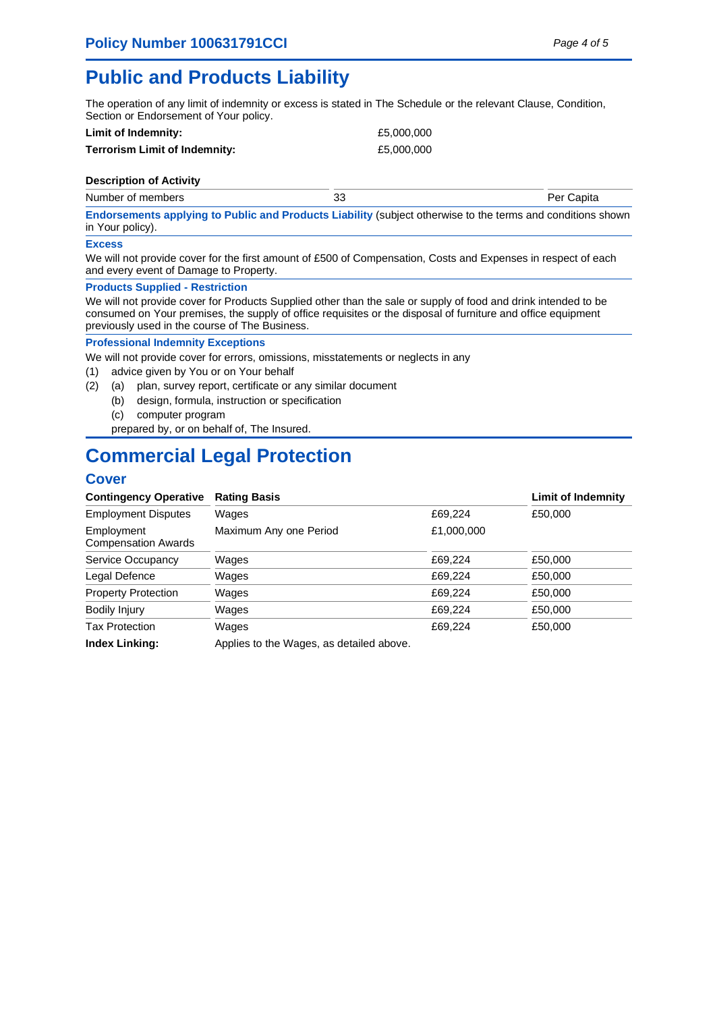## **Public and Products Liability**

The operation of any limit of indemnity or excess is stated in The Schedule or the relevant Clause, Condition, Section or Endorsement of Your policy.

| Limit of Indemnity:           | £5,000,000 |
|-------------------------------|------------|
| Terrorism Limit of Indemnity: | £5,000,000 |

### **Description of Activity**

Number of members 33 Per Capita

**Endorsements applying to Public and Products Liability** (subject otherwise to the terms and conditions shown in Your policy).

### **Excess**

We will not provide cover for the first amount of £500 of Compensation, Costs and Expenses in respect of each and every event of Damage to Property.

### **Products Supplied - Restriction**

We will not provide cover for Products Supplied other than the sale or supply of food and drink intended to be consumed on Your premises, the supply of office requisites or the disposal of furniture and office equipment previously used in the course of The Business.

### **Professional Indemnity Exceptions**

We will not provide cover for errors, omissions, misstatements or neglects in any

- (1) advice given by You or on Your behalf
- (2) (a) plan, survey report, certificate or any similar document
	- (b) design, formula, instruction or specification
	- (c) computer program
	- prepared by, or on behalf of, The Insured.

## **Commercial Legal Protection**

## **Cover**

| <b>Contingency Operative</b>             | <b>Rating Basis</b>                      |            | <b>Limit of Indemnity</b> |
|------------------------------------------|------------------------------------------|------------|---------------------------|
| <b>Employment Disputes</b>               | Wages                                    | £69,224    | £50,000                   |
| Employment<br><b>Compensation Awards</b> | Maximum Any one Period                   | £1,000,000 |                           |
| Service Occupancy                        | Wages                                    | £69,224    | £50,000                   |
| Legal Defence                            | Wages                                    | £69.224    | £50,000                   |
| <b>Property Protection</b>               | Wages                                    | £69,224    | £50,000                   |
| Bodily Injury                            | Wages                                    | £69,224    | £50,000                   |
| <b>Tax Protection</b>                    | Wages                                    | £69.224    | £50,000                   |
| <b>Index Linking:</b>                    | Applies to the Wages, as detailed above. |            |                           |